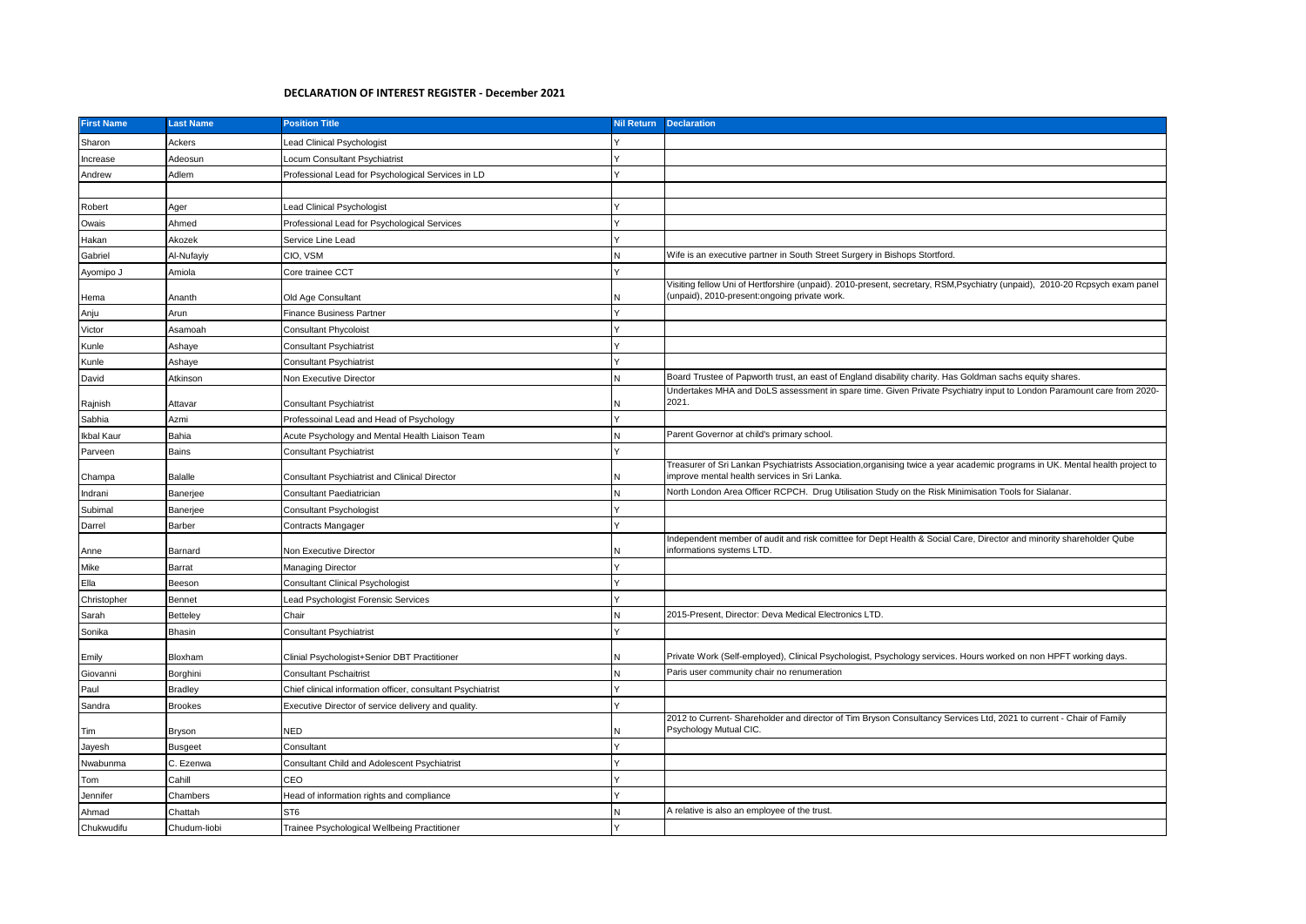## **DECLARATION OF INTEREST REGISTER - December 2021**

| <b>First Name</b> | <b>Last Name</b> | <b>Position Title</b>                                       | <b>Nil Return</b> | <b>Declaration</b>                                                                                                                                                          |
|-------------------|------------------|-------------------------------------------------------------|-------------------|-----------------------------------------------------------------------------------------------------------------------------------------------------------------------------|
| Sharon            | Ackers           | ead Clinical Psychologist                                   |                   |                                                                                                                                                                             |
| Increase          | Adeosun          | ocum Consultant Psychiatrist                                |                   |                                                                                                                                                                             |
| Andrew            | Adlem            | Professional Lead for Psychological Services in LD          |                   |                                                                                                                                                                             |
|                   |                  |                                                             |                   |                                                                                                                                                                             |
| Robert            | Ager             | Lead Clinical Psychologist                                  |                   |                                                                                                                                                                             |
| Owais             | Ahmed            | Professional Lead for Psychological Services                |                   |                                                                                                                                                                             |
| Hakan             | Akozek           | Service Line Lead                                           |                   |                                                                                                                                                                             |
| Gabriel           | Al-Nufayiy       | CIO, VSM                                                    |                   | Wife is an executive partner in South Street Surgery in Bishops Stortford.                                                                                                  |
| Ayomipo J         | Amiola           | Core trainee CCT                                            |                   |                                                                                                                                                                             |
| Hema              | Ananth           | Old Age Consultant                                          |                   | Visiting fellow Uni of Hertforshire (unpaid). 2010-present, secretary, RSM, Psychiatry (unpaid), 2010-20 Rcpsych exam panel<br>(unpaid), 2010-present:ongoing private work. |
| Anju              | Arun             | Finance Business Partner                                    |                   |                                                                                                                                                                             |
| Victor            | Asamoah          | <b>Consultant Phycoloist</b>                                |                   |                                                                                                                                                                             |
| Kunle             | Ashaye           | Consultant Psychiatrist                                     |                   |                                                                                                                                                                             |
| Kunle             | Ashaye           | Consultant Psychiatrist                                     |                   |                                                                                                                                                                             |
| David             | Atkinson         | Non Executive Director                                      |                   | Board Trustee of Papworth trust, an east of England disability charity. Has Goldman sachs equity shares.                                                                    |
| Rajnish           | Attavar          | <b>Consultant Psychiatrist</b>                              |                   | Undertakes MHA and DoLS assessment in spare time. Given Private Psychiatry input to London Paramount care from 2020-<br>2021.                                               |
| Sabhia            | Azmi             | Professoinal Lead and Head of Psychology                    |                   |                                                                                                                                                                             |
| Ikbal Kaur        | Bahia            | Acute Psychology and Mental Health Liaison Team             |                   | Parent Governor at child's primary school.                                                                                                                                  |
| Parveen           | Bains            | Consultant Psychiatrist                                     |                   |                                                                                                                                                                             |
| Champa            | Balalle          | <b>Consultant Psychiatrist and Clinical Director</b>        |                   | Treasurer of Sri Lankan Psychiatrists Association,organising twice a year academic programs in UK. Mental health project to<br>improve mental health services in Sri Lanka. |
| Indrani           | Banerjee         | Consultant Paediatrician                                    |                   | North London Area Officer RCPCH. Drug Utilisation Study on the Risk Minimisation Tools for Sialanar.                                                                        |
| Subimal           | Banerjee         | Consultant Psychologist                                     |                   |                                                                                                                                                                             |
| Darrel            | Barber           | Contracts Mangager                                          |                   |                                                                                                                                                                             |
| Anne              | Barnard          | Non Executive Director                                      |                   | Independent member of audit and risk comittee for Dept Health & Social Care, Director and minority shareholder Qube<br>informations systems LTD.                            |
| Mike              | Barrat           | Managing Director                                           |                   |                                                                                                                                                                             |
| Ella              | Beeson           | Consultant Clinical Psychologist                            |                   |                                                                                                                                                                             |
| Christopher       | Bennet           | ead Psychologist Forensic Services                          |                   |                                                                                                                                                                             |
| Sarah             | Betteley         | Chair                                                       | N                 | 2015-Present, Director: Deva Medical Electronics LTD.                                                                                                                       |
| Sonika            | Bhasin           | <b>Consultant Psychiatrist</b>                              |                   |                                                                                                                                                                             |
| Emily             | Bloxham          | Clinial Psychologist+Senior DBT Practitioner                |                   | Private Work (Self-employed), Clinical Psychologist, Psychology services. Hours worked on non HPFT working days.                                                            |
| Giovanni          | Borghini         | <b>Consultant Pschaitrist</b>                               |                   | Paris user community chair no renumeration                                                                                                                                  |
| Paul              | <b>Bradley</b>   | Chief clinical information officer, consultant Psychiatrist |                   |                                                                                                                                                                             |
| Sandra            | <b>Brookes</b>   | Executive Director of service delivery and quality.         |                   |                                                                                                                                                                             |
| Tim               | Bryson           | NED                                                         |                   | 2012 to Current- Shareholder and director of Tim Bryson Consultancy Services Ltd, 2021 to current - Chair of Family<br>Psychology Mutual CIC.                               |
| Jayesh            | Busgeet          | Consultant                                                  |                   |                                                                                                                                                                             |
| Nwabunma          | C. Ezenwa        | <b>Consultant Child and Adolescent Psychiatrist</b>         |                   |                                                                                                                                                                             |
| Tom               | Cahill           | CEO                                                         |                   |                                                                                                                                                                             |
| Jennifer          | Chambers         | lead of information rights and compliance                   |                   |                                                                                                                                                                             |
| Ahmad             | Chattah          | ST <sub>6</sub>                                             |                   | A relative is also an employee of the trust.                                                                                                                                |
| Chukwudifu        | Chudum-liobi     | Trainee Psychological Wellbeing Practitioner                |                   |                                                                                                                                                                             |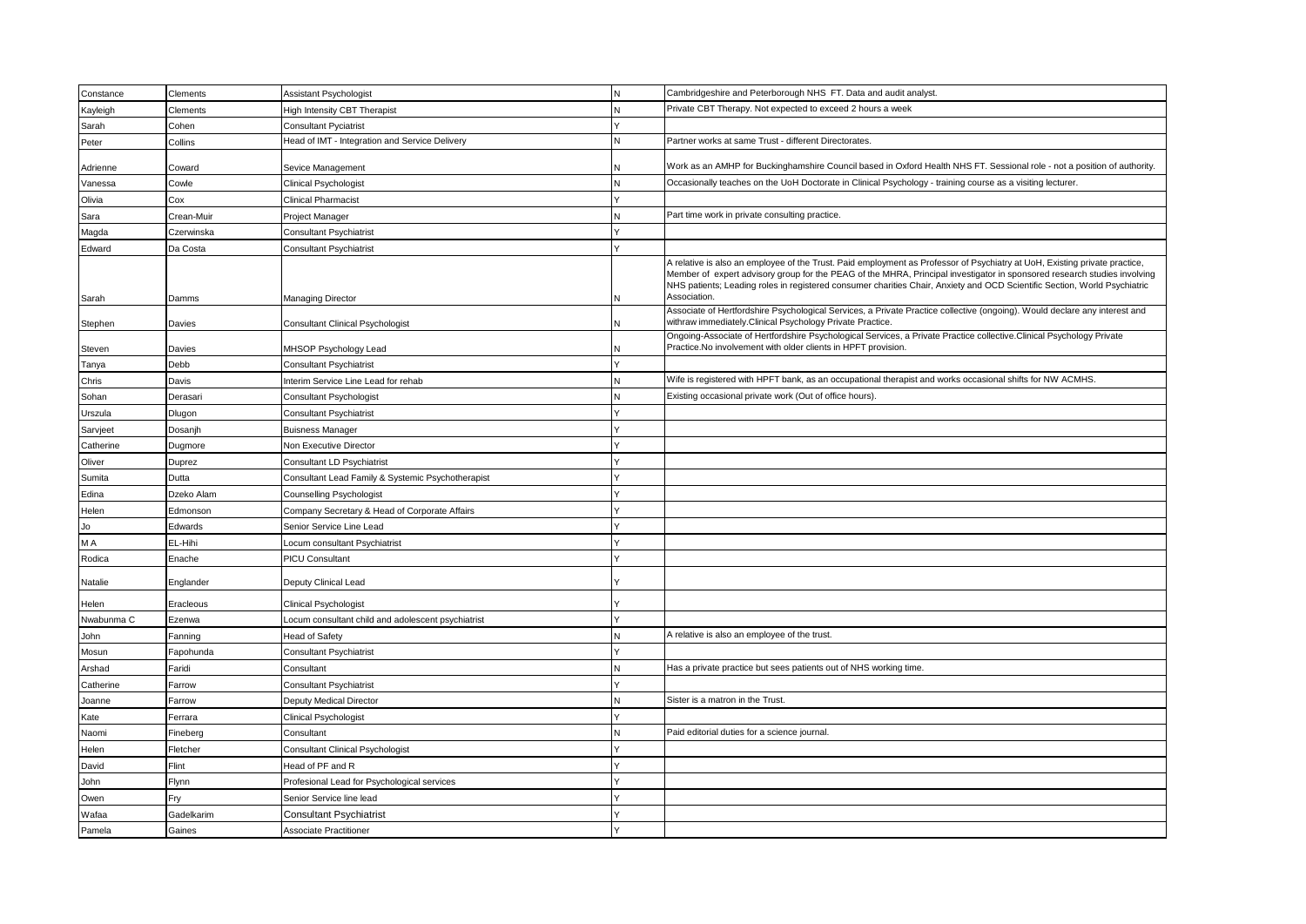| Constance  | Clements   | Assistant Psychologist                             | N | Cambridgeshire and Peterborough NHS FT. Data and audit analyst.                                                                                                                                                                                                                                                                                                                                     |
|------------|------------|----------------------------------------------------|---|-----------------------------------------------------------------------------------------------------------------------------------------------------------------------------------------------------------------------------------------------------------------------------------------------------------------------------------------------------------------------------------------------------|
| Kayleigh   | Clements   | <b>High Intensity CBT Therapist</b>                | N | Private CBT Therapy. Not expected to exceed 2 hours a week                                                                                                                                                                                                                                                                                                                                          |
| Sarah      | Cohen      | <b>Consultant Pyciatrist</b>                       |   |                                                                                                                                                                                                                                                                                                                                                                                                     |
| Peter      | Collins    | Head of IMT - Integration and Service Delivery     | N | Partner works at same Trust - different Directorates.                                                                                                                                                                                                                                                                                                                                               |
| Adrienne   | Coward     | Sevice Management                                  |   | Work as an AMHP for Buckinghamshire Council based in Oxford Health NHS FT. Sessional role - not a position of authority.                                                                                                                                                                                                                                                                            |
| Vanessa    | Cowle      | Clinical Psychologist                              | N | Occasionally teaches on the UoH Doctorate in Clinical Psychology - training course as a visiting lecturer.                                                                                                                                                                                                                                                                                          |
| Olivia     | Cox        | <b>Clinical Pharmacist</b>                         |   |                                                                                                                                                                                                                                                                                                                                                                                                     |
| Sara       | Crean-Muir | Project Manager                                    | N | Part time work in private consulting practice.                                                                                                                                                                                                                                                                                                                                                      |
| Magda      | Czerwinska | <b>Consultant Psychiatrist</b>                     |   |                                                                                                                                                                                                                                                                                                                                                                                                     |
| Edward     | Da Costa   | <b>Consultant Psychiatrist</b>                     |   |                                                                                                                                                                                                                                                                                                                                                                                                     |
| Sarah      | Damms      | Managing Director                                  | N | A relative is also an employee of the Trust. Paid employment as Professor of Psychiatry at UoH, Existing private practice,<br>Member of expert advisory group for the PEAG of the MHRA, Principal investigator in sponsored research studies involving<br>NHS patients; Leading roles in registered consumer charities Chair, Anxiety and OCD Scientific Section, World Psychiatric<br>Association. |
| Stephen    | Davies     | Consultant Clinical Psychologist                   |   | Associate of Hertfordshire Psychological Services, a Private Practice collective (ongoing). Would declare any interest and<br>withraw immediately.Clinical Psychology Private Practice.                                                                                                                                                                                                             |
| Steven     | Davies     | MHSOP Psychology Lead                              |   | Ongoing-Associate of Hertfordshire Psychological Services, a Private Practice collective.Clinical Psychology Private<br>Practice.No involvement with older clients in HPFT provision.                                                                                                                                                                                                               |
| Tanya      | Debb       | <b>Consultant Psychiatrist</b>                     |   |                                                                                                                                                                                                                                                                                                                                                                                                     |
| Chris      | Davis      | Interim Service Line Lead for rehab                |   | Wife is registered with HPFT bank, as an occupational therapist and works occasional shifts for NW ACMHS.                                                                                                                                                                                                                                                                                           |
| Sohan      | Derasari   | Consultant Psychologist                            | N | Existing occasional private work (Out of office hours).                                                                                                                                                                                                                                                                                                                                             |
| Urszula    | Dlugon     | Consultant Psychiatrist                            |   |                                                                                                                                                                                                                                                                                                                                                                                                     |
| Sarvjeet   | Dosanjh    | <b>Buisness Manager</b>                            |   |                                                                                                                                                                                                                                                                                                                                                                                                     |
| Catherine  | Dugmore    | Non Executive Director                             |   |                                                                                                                                                                                                                                                                                                                                                                                                     |
| Oliver     | Duprez     | Consultant LD Psychiatrist                         |   |                                                                                                                                                                                                                                                                                                                                                                                                     |
| Sumita     | Dutta      | Consultant Lead Family & Systemic Psychotherapist  |   |                                                                                                                                                                                                                                                                                                                                                                                                     |
| Edina      | Dzeko Alam | Counselling Psychologist                           |   |                                                                                                                                                                                                                                                                                                                                                                                                     |
| Helen      | Edmonson   | Company Secretary & Head of Corporate Affairs      |   |                                                                                                                                                                                                                                                                                                                                                                                                     |
| Jo         | Edwards    | Senior Service Line Lead                           |   |                                                                                                                                                                                                                                                                                                                                                                                                     |
| M A        | EL-Hihi    | ocum consultant Psychiatrist                       |   |                                                                                                                                                                                                                                                                                                                                                                                                     |
| Rodica     | Enache     | PICU Consultant                                    |   |                                                                                                                                                                                                                                                                                                                                                                                                     |
| Natalie    | Englander  | Deputy Clinical Lead                               |   |                                                                                                                                                                                                                                                                                                                                                                                                     |
| Helen      | Eracleous  | Clinical Psychologist                              |   |                                                                                                                                                                                                                                                                                                                                                                                                     |
| Nwabunma C | Ezenwa     | Locum consultant child and adolescent psychiatrist |   |                                                                                                                                                                                                                                                                                                                                                                                                     |
| John       | Fanning    | Head of Safety                                     |   | A relative is also an employee of the trust.                                                                                                                                                                                                                                                                                                                                                        |
| Mosun      | Fapohunda  | <b>Consultant Psychiatrist</b>                     |   |                                                                                                                                                                                                                                                                                                                                                                                                     |
| Arshad     | Faridi     | Consultant                                         | N | Has a private practice but sees patients out of NHS working time.                                                                                                                                                                                                                                                                                                                                   |
| Catherine  | Farrow     | <b>Consultant Psychiatrist</b>                     |   |                                                                                                                                                                                                                                                                                                                                                                                                     |
| Joanne     | Farrow     | Deputy Medical Director                            |   | Sister is a matron in the Trust                                                                                                                                                                                                                                                                                                                                                                     |
| Kate       | Ferrara    | Clinical Psychologist                              |   |                                                                                                                                                                                                                                                                                                                                                                                                     |
| Naomi      | Fineberg   | Consultant                                         |   | Paid editorial duties for a science journal.                                                                                                                                                                                                                                                                                                                                                        |
| Helen      | Fletcher   | Consultant Clinical Psychologist                   |   |                                                                                                                                                                                                                                                                                                                                                                                                     |
| David      | Flint      | Head of PF and R                                   |   |                                                                                                                                                                                                                                                                                                                                                                                                     |
| John       | Flynn      | Profesional Lead for Psychological services        |   |                                                                                                                                                                                                                                                                                                                                                                                                     |
| Owen       | Fry        | Senior Service line lead                           |   |                                                                                                                                                                                                                                                                                                                                                                                                     |
| Wafaa      | Gadelkarim | <b>Consultant Psychiatrist</b>                     |   |                                                                                                                                                                                                                                                                                                                                                                                                     |
| Pamela     | Gaines     | <b>Associate Practitioner</b>                      |   |                                                                                                                                                                                                                                                                                                                                                                                                     |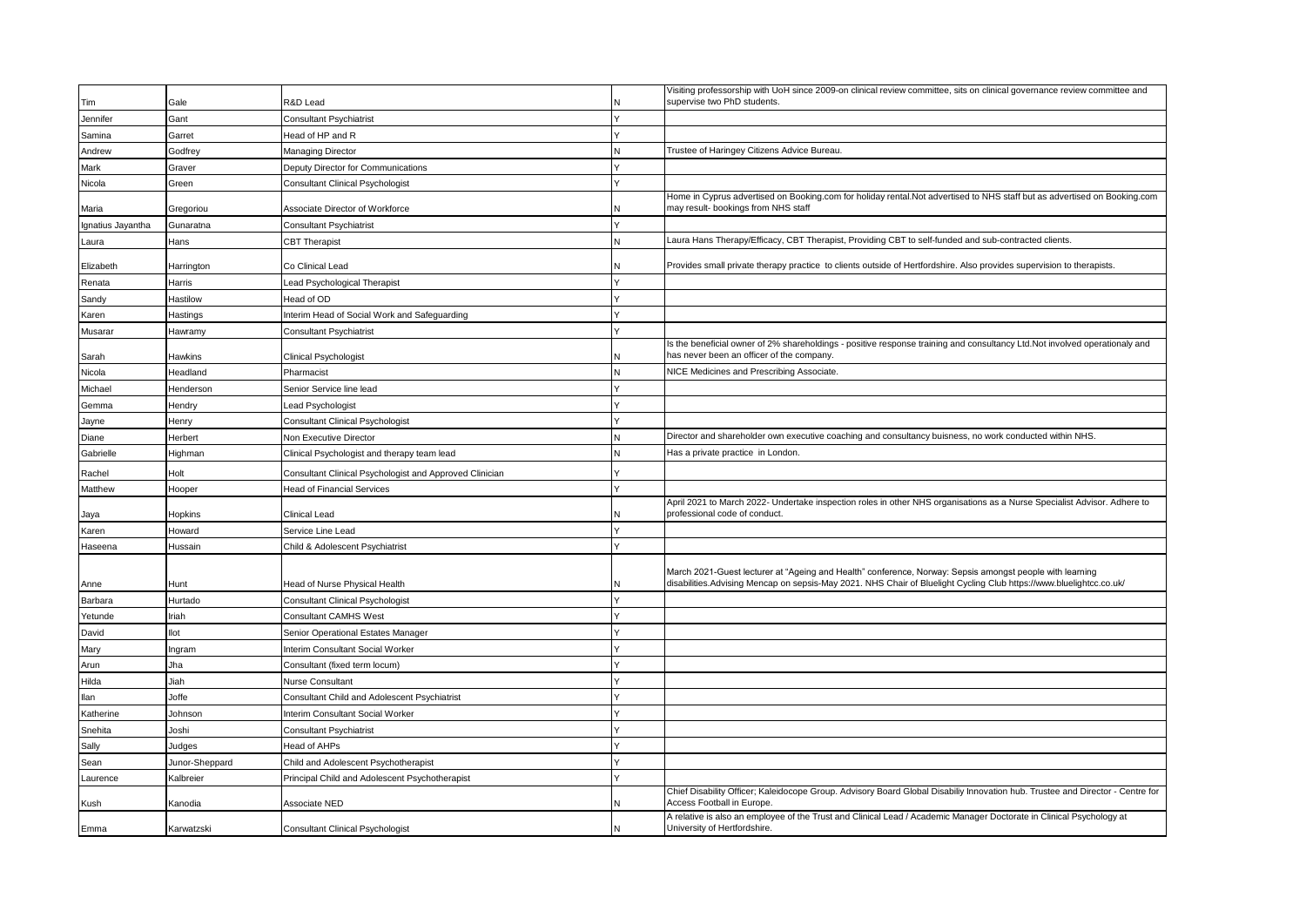|                   |                |                                                         |   | Visiting professorship with UoH since 2009-on clinical review committee, sits on clinical governance review committee and                                                                                                       |
|-------------------|----------------|---------------------------------------------------------|---|---------------------------------------------------------------------------------------------------------------------------------------------------------------------------------------------------------------------------------|
| Tim               | Gale           | २&D Lead                                                |   | supervise two PhD students.                                                                                                                                                                                                     |
| Jennifer          | Gant           | Consultant Psychiatrist                                 |   |                                                                                                                                                                                                                                 |
| Samina            | Garret         | lead of HP and R                                        |   |                                                                                                                                                                                                                                 |
| Andrew            | Godfrey        | Managing Director                                       |   | Trustee of Haringey Citizens Advice Bureau                                                                                                                                                                                      |
| Mark              | Graver         | Deputy Director for Communications                      |   |                                                                                                                                                                                                                                 |
| Nicola            | Green          | <b>Consultant Clinical Psychologist</b>                 |   |                                                                                                                                                                                                                                 |
| Maria             | Gregoriou      | Associate Director of Workforce                         |   | Home in Cyprus advertised on Booking.com for holiday rental.Not advertised to NHS staff but as advertised on Booking.com<br>may result- bookings from NHS staff                                                                 |
| Ignatius Jayantha | Gunaratna      | Consultant Psychiatrist                                 |   |                                                                                                                                                                                                                                 |
| Laura             | Hans           | <b>CBT Therapist</b>                                    |   | Laura Hans Therapy/Efficacy, CBT Therapist, Providing CBT to self-funded and sub-contracted clients.                                                                                                                            |
| Elizabeth         | Harrington     | Co Clinical Lead                                        |   | Provides small private therapy practice to clients outside of Hertfordshire. Also provides supervision to therapists.                                                                                                           |
| Renata            | Harris         | ead Psychological Therapist                             |   |                                                                                                                                                                                                                                 |
| Sandy             | Hastilow       | lead of OD                                              |   |                                                                                                                                                                                                                                 |
| Karen             | Hastings       | nterim Head of Social Work and Safeguarding             |   |                                                                                                                                                                                                                                 |
| Musarar           | Hawramy        | Consultant Psychiatrist                                 |   |                                                                                                                                                                                                                                 |
| Sarah             | Hawkins        | Clinical Psychologist                                   |   | Is the beneficial owner of 2% shareholdings - positive response training and consultancy Ltd.Not involved operationaly and<br>has never been an officer of the company.                                                         |
| Nicola            | Headland       | Pharmacist                                              |   | NICE Medicines and Prescribing Associate.                                                                                                                                                                                       |
| Michael           | Henderson      | Senior Service line lead                                |   |                                                                                                                                                                                                                                 |
| Gemma             | Hendry         | ead Psychologist                                        |   |                                                                                                                                                                                                                                 |
| Jayne             | Henry          | Consultant Clinical Psychologist                        |   |                                                                                                                                                                                                                                 |
| Diane             | Herbert        | Non Executive Director                                  | N | Director and shareholder own executive coaching and consultancy buisness, no work conducted within NHS.                                                                                                                         |
| Gabrielle         | Highman        | Clinical Psychologist and therapy team lead             |   | Has a private practice in London.                                                                                                                                                                                               |
| Rachel            | Holt           | Consultant Clinical Psychologist and Approved Clinician |   |                                                                                                                                                                                                                                 |
| Matthew           | Hooper         | <b>Head of Financial Services</b>                       |   |                                                                                                                                                                                                                                 |
| Jaya              | Hopkins        | Clinical Lead                                           |   | April 2021 to March 2022- Undertake inspection roles in other NHS organisations as a Nurse Specialist Advisor. Adhere to<br>professional code of conduct                                                                        |
| Karen             | Howard         | Service Line Lead                                       |   |                                                                                                                                                                                                                                 |
| Haseena           | Hussain        | Child & Adolescent Psychiatrist                         |   |                                                                                                                                                                                                                                 |
| Anne              | Hunt           | lead of Nurse Physical Health                           |   | March 2021-Guest lecturer at "Ageing and Health" conference, Norway: Sepsis amongst people with learning<br>disabilities.Advising Mencap on sepsis-May 2021. NHS Chair of Bluelight Cycling Club https://www.bluelightcc.co.uk/ |
| Barbara           | Hurtado        | <b>Consultant Clinical Psychologist</b>                 |   |                                                                                                                                                                                                                                 |
| Yetunde           | Iriah          | Consultant CAMHS West                                   |   |                                                                                                                                                                                                                                 |
| David             | llot           | Senior Operational Estates Manager                      |   |                                                                                                                                                                                                                                 |
| Mary              | Ingram         | Interim Consultant Social Worker                        |   |                                                                                                                                                                                                                                 |
| Arun              | Jha            | Consultant (fixed term locum)                           |   |                                                                                                                                                                                                                                 |
| Hilda             | Jiah           | Nurse Consultant                                        |   |                                                                                                                                                                                                                                 |
| llan              | Joffe          | <b>Consultant Child and Adolescent Psychiatrist</b>     |   |                                                                                                                                                                                                                                 |
| Katherine         | Johnson        | nterim Consultant Social Worker                         |   |                                                                                                                                                                                                                                 |
| Snehita           | Joshi          | Consultant Psychiatrist                                 |   |                                                                                                                                                                                                                                 |
| Sally             | Judges         | lead of AHPs                                            |   |                                                                                                                                                                                                                                 |
| Sean              | Junor-Sheppard | Child and Adolescent Psychotherapist                    |   |                                                                                                                                                                                                                                 |
| Laurence          | Kalbreier      | Principal Child and Adolescent Psychotherapist          |   |                                                                                                                                                                                                                                 |
| Kush              | Kanodia        | Associate NED                                           |   | Chief Disability Officer; Kaleidocope Group. Advisory Board Global Disabiliy Innovation hub. Trustee and Director - Centre for<br>Access Football in Europe.                                                                    |
| Emma              | Karwatzski     | <b>Consultant Clinical Psychologist</b>                 | N | A relative is also an employee of the Trust and Clinical Lead / Academic Manager Doctorate in Clinical Psychology at<br>University of Hertfordshire.                                                                            |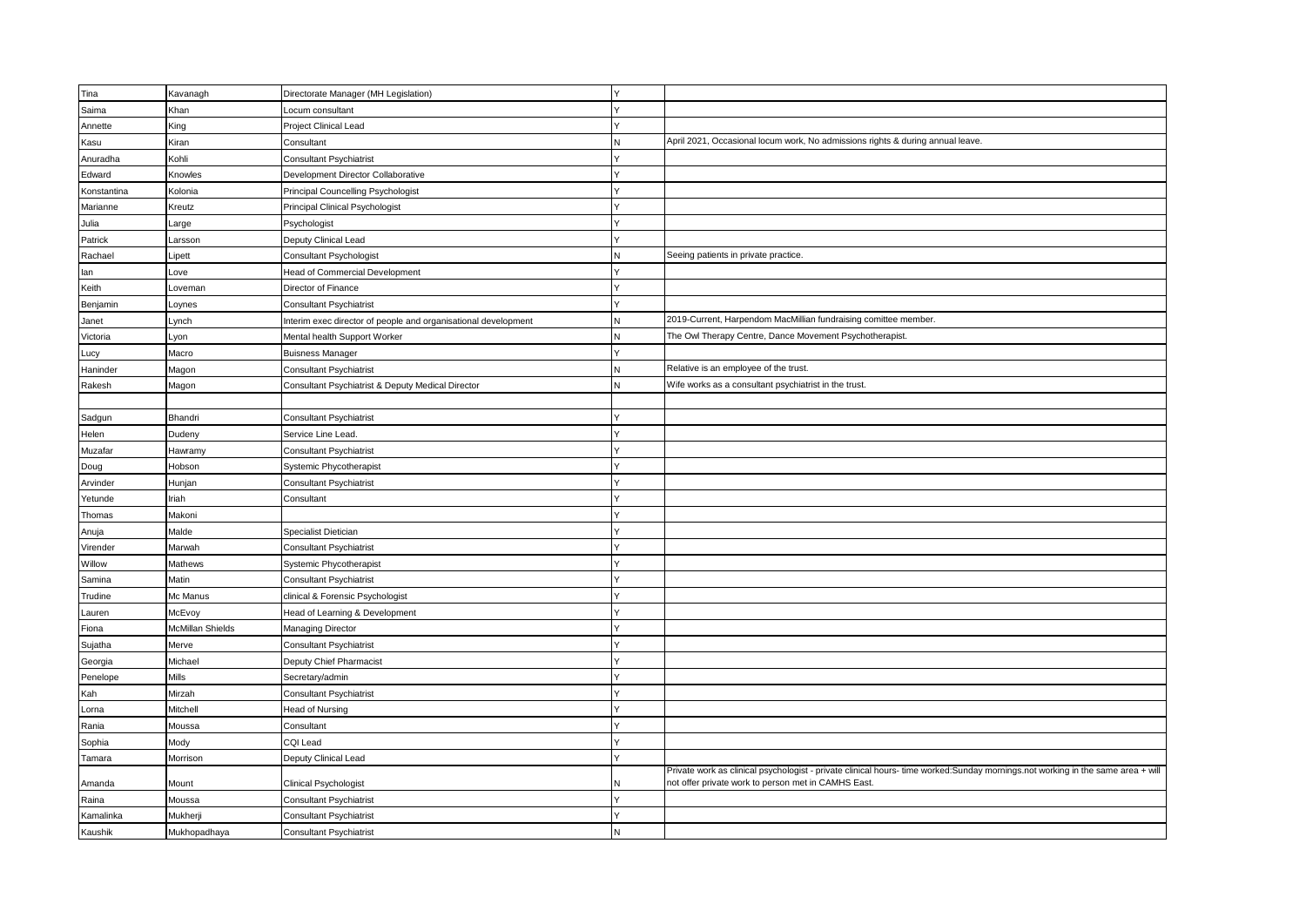| Tina        | Kavanagh         | Directorate Manager (MH Legislation)                           | IY |                                                                                                                                                                                       |
|-------------|------------------|----------------------------------------------------------------|----|---------------------------------------------------------------------------------------------------------------------------------------------------------------------------------------|
| Saima       | Khan             | Locum consultant                                               |    |                                                                                                                                                                                       |
| Annette     | King             | Project Clinical Lead                                          |    |                                                                                                                                                                                       |
| Kasu        | Kiran            | Consultant                                                     |    | April 2021, Occasional locum work, No admissions rights & during annual leave.                                                                                                        |
| Anuradha    | Kohli            | <b>Consultant Psychiatrist</b>                                 |    |                                                                                                                                                                                       |
| Edward      | Knowles          | Development Director Collaborative                             |    |                                                                                                                                                                                       |
| Konstantina | Kolonia          | Principal Councelling Psychologist                             |    |                                                                                                                                                                                       |
| Marianne    | Kreutz           | Principal Clinical Psychologist                                |    |                                                                                                                                                                                       |
| Julia       | arge             | <sup>2</sup> sychologist                                       |    |                                                                                                                                                                                       |
| Patrick     | Larsson          | Deputy Clinical Lead                                           |    |                                                                                                                                                                                       |
| Rachael     | Lipett           | Consultant Psychologist                                        | N  | Seeing patients in private practice.                                                                                                                                                  |
| lan         | ove              | Head of Commercial Development                                 |    |                                                                                                                                                                                       |
| Keith       | Loveman          | Director of Finance                                            |    |                                                                                                                                                                                       |
| Benjamin    | oynes            | <b>Consultant Psychiatrist</b>                                 |    |                                                                                                                                                                                       |
| Janet       | Lynch            | Interim exec director of people and organisational development | N  | 2019-Current, Harpendom MacMillian fundraising comittee member.                                                                                                                       |
| Victoria    | .yon             | Mental health Support Worker                                   | N  | The Owl Therapy Centre, Dance Movement Psychotherapist.                                                                                                                               |
| Lucy        | Macro            | <b>Buisness Manager</b>                                        |    |                                                                                                                                                                                       |
| Haninder    | Magon            | <b>Consultant Psychiatrist</b>                                 | N  | Relative is an employee of the trust.                                                                                                                                                 |
| Rakesh      | Magon            | Consultant Psychiatrist & Deputy Medical Director              | N  | Wife works as a consultant psychiatrist in the trust.                                                                                                                                 |
|             |                  |                                                                |    |                                                                                                                                                                                       |
| Sadgun      | Bhandri          | <b>Consultant Psychiatrist</b>                                 |    |                                                                                                                                                                                       |
| Helen       | Dudeny           | Service Line Lead.                                             |    |                                                                                                                                                                                       |
| Muzafar     | Hawramy          | Consultant Psychiatrist                                        |    |                                                                                                                                                                                       |
| Doug        | Hobson           | Systemic Phycotherapist                                        |    |                                                                                                                                                                                       |
| Arvinder    | Hunjan           | Consultant Psychiatrist                                        |    |                                                                                                                                                                                       |
| Yetunde     | Iriah            | Consultant                                                     |    |                                                                                                                                                                                       |
| Thomas      | Makoni           |                                                                |    |                                                                                                                                                                                       |
| Anuja       | Malde            | Specialist Dietician                                           |    |                                                                                                                                                                                       |
| Virender    | Marwah           | <b>Consultant Psychiatrist</b>                                 |    |                                                                                                                                                                                       |
| Willow      | Mathews          | Systemic Phycotherapist                                        |    |                                                                                                                                                                                       |
| Samina      | Matin            | <b>Consultant Psychiatrist</b>                                 |    |                                                                                                                                                                                       |
| Trudine     | Mc Manus         | clinical & Forensic Psychologist                               |    |                                                                                                                                                                                       |
| Lauren      | McEvoy           | Head of Learning & Development                                 |    |                                                                                                                                                                                       |
| Fiona       | McMillan Shields | Managing Director                                              |    |                                                                                                                                                                                       |
| Sujatha     | Merve            | Consultant Psychiatrist                                        |    |                                                                                                                                                                                       |
| Georgia     | Michael          | Deputy Chief Pharmacist                                        |    |                                                                                                                                                                                       |
| Penelope    | Mills            | Secretary/admin                                                |    |                                                                                                                                                                                       |
| Kah         | Mirzah           | <b>Consultant Psychiatrist</b>                                 |    |                                                                                                                                                                                       |
| Lorna       | Mitchell         | Head of Nursing                                                |    |                                                                                                                                                                                       |
| Rania       | Moussa           | Consultant                                                     |    |                                                                                                                                                                                       |
| Sophia      | Mody             | CQI Lead                                                       |    |                                                                                                                                                                                       |
| Tamara      | Morrison         | Deputy Clinical Lead                                           |    |                                                                                                                                                                                       |
|             |                  |                                                                |    | Private work as clinical psychologist - private clinical hours- time worked:Sunday mornings.not working in the same area + will<br>not offer private work to person met in CAMHS East |
| Amanda      | Mount<br>Moussa  | <b>Clinical Psychologist</b>                                   | N  |                                                                                                                                                                                       |
| Raina       |                  | <b>Consultant Psychiatrist</b>                                 |    |                                                                                                                                                                                       |
| Kamalinka   | Mukherji         | <b>Consultant Psychiatrist</b>                                 | N  |                                                                                                                                                                                       |
| Kaushik     | Mukhopadhaya     | <b>Consultant Psychiatrist</b>                                 |    |                                                                                                                                                                                       |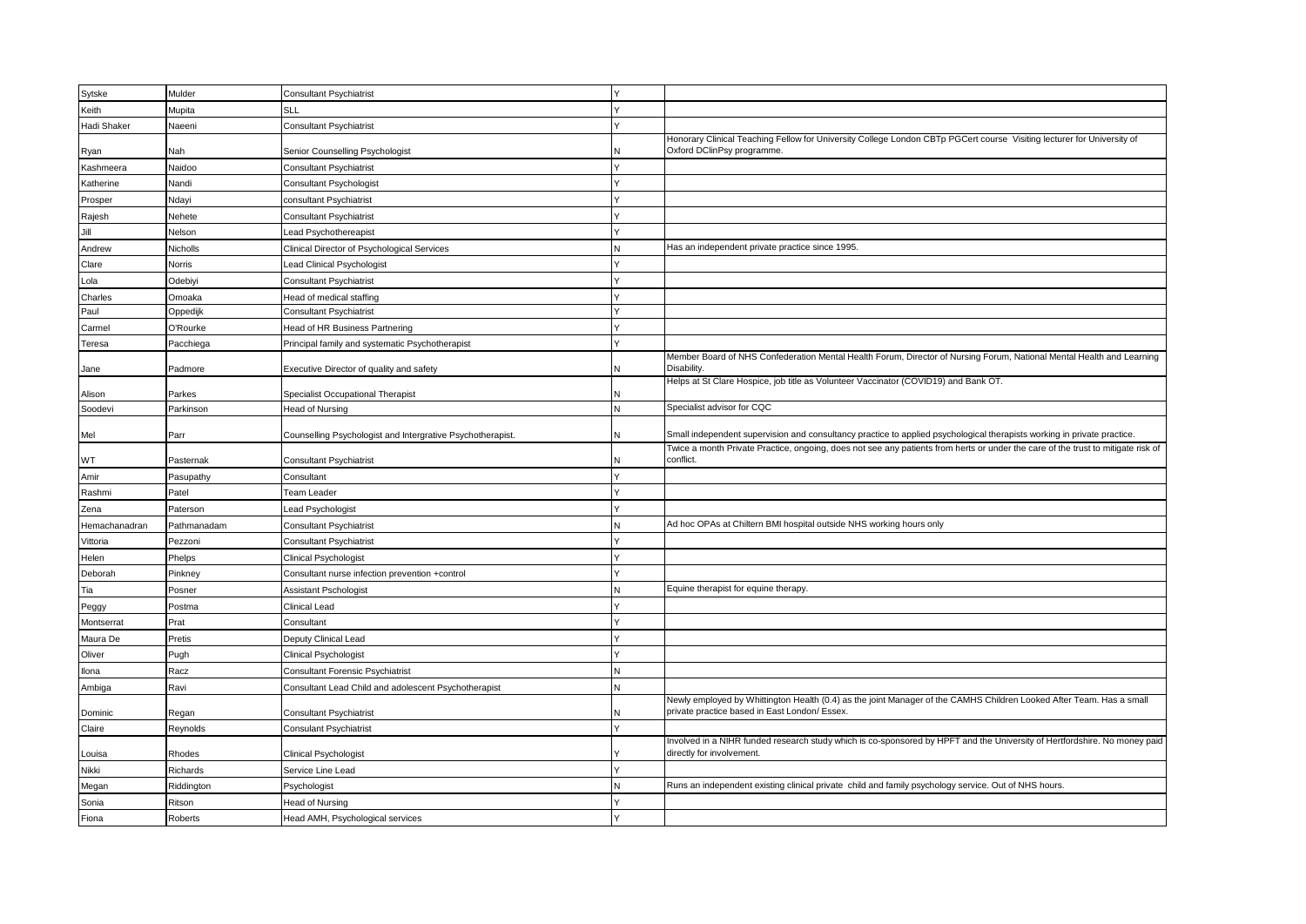| Sytske        | Mulder        | <b>Consultant Psychiatrist</b>                             |   |                                                                                                                                                                       |
|---------------|---------------|------------------------------------------------------------|---|-----------------------------------------------------------------------------------------------------------------------------------------------------------------------|
| Keith         | Mupita        | <b>SLL</b>                                                 |   |                                                                                                                                                                       |
| Hadi Shaker   | Naeeni        | Consultant Psychiatrist                                    |   |                                                                                                                                                                       |
|               |               |                                                            |   | Honorary Clinical Teaching Fellow for University College London CBTp PGCert course Visiting lecturer for University of<br>Oxford DClinPsy programme.                  |
| Ryan          | Nah           | Senior Counselling Psychologist                            |   |                                                                                                                                                                       |
| Kashmeera     | Naidoo        | Consultant Psychiatrist                                    |   |                                                                                                                                                                       |
| Katherine     | Nandi         | <b>Consultant Psychologist</b>                             |   |                                                                                                                                                                       |
| Prosper       | Ndayi         | consultant Psychiatrist                                    |   |                                                                                                                                                                       |
| Rajesh        | Nehete        | Consultant Psychiatrist                                    |   |                                                                                                                                                                       |
| Jill          | Nelson        | ead Psychothereapist                                       |   |                                                                                                                                                                       |
| Andrew        | Nicholls      | Clinical Director of Psychological Services                |   | Has an independent private practice since 1995.                                                                                                                       |
| Clare         | <b>Norris</b> | ead Clinical Psychologist                                  |   |                                                                                                                                                                       |
| Lola          | Odebiyi       | Consultant Psychiatrist                                    |   |                                                                                                                                                                       |
| Charles       | Omoaka        | lead of medical staffing                                   |   |                                                                                                                                                                       |
| Paul          | Oppedijk      | <b>Consultant Psychiatrist</b>                             |   |                                                                                                                                                                       |
| Carmel        | O'Rourke      | Head of HR Business Partnering                             |   |                                                                                                                                                                       |
| Teresa        | Pacchiega     | Principal family and systematic Psychotherapist            |   |                                                                                                                                                                       |
| Jane          | Padmore       | Executive Director of quality and safety                   |   | Member Board of NHS Confederation Mental Health Forum, Director of Nursing Forum, National Mental Health and Learning<br>Disability                                   |
|               |               |                                                            |   | Helps at St Clare Hospice, job title as Volunteer Vaccinator (COVID19) and Bank OT.                                                                                   |
| Alison        | Parkes        | Specialist Occupational Therapist                          |   |                                                                                                                                                                       |
| Soodevi       | Parkinson     | Head of Nursing                                            | N | Specialist advisor for CQC                                                                                                                                            |
| Mel           | Parr          | Counselling Psychologist and Intergrative Psychotherapist. |   | Small independent supervision and consultancy practice to applied psychological therapists working in private practice.                                               |
| WT            | Pasternak     | <b>Consultant Psychiatrist</b>                             |   | Twice a month Private Practice, ongoing, does not see any patients from herts or under the care of the trust to mitigate risk of<br>conflict.                         |
| Amir          | Pasupathy     | Consultant                                                 |   |                                                                                                                                                                       |
| Rashmi        | Patel         | Team Leader                                                |   |                                                                                                                                                                       |
| Zena          | Paterson      | ead Psychologist                                           |   |                                                                                                                                                                       |
| Hemachanadran | Pathmanadam   | <b>Consultant Psychiatrist</b>                             |   | Ad hoc OPAs at Chiltern BMI hospital outside NHS working hours only                                                                                                   |
| Vittoria      | Pezzoni       | Consultant Psychiatrist                                    |   |                                                                                                                                                                       |
| Helen         | Phelps        | Clinical Psychologist                                      |   |                                                                                                                                                                       |
| Deborah       | Pinkney       | Consultant nurse infection prevention +control             |   |                                                                                                                                                                       |
| Tia           | Posner        | Assistant Pschologist                                      |   | Equine therapist for equine therapy                                                                                                                                   |
|               | Postma        | Clinical Lead                                              |   |                                                                                                                                                                       |
| Peggy         |               |                                                            |   |                                                                                                                                                                       |
| Montserrat    | Prat          | Consultant                                                 |   |                                                                                                                                                                       |
| Maura De      | Pretis        | Deputy Clinical Lead                                       |   |                                                                                                                                                                       |
| Oliver        | Pugh          | Clinical Psychologist                                      |   |                                                                                                                                                                       |
| Ilona         | Racz          | Consultant Forensic Psychiatrist                           |   |                                                                                                                                                                       |
| Ambiga        | Ravi          | Consultant Lead Child and adolescent Psychotherapist       | N |                                                                                                                                                                       |
| Dominic       | Regan         | <b>Consultant Psychiatrist</b>                             |   | Newly employed by Whittington Health (0.4) as the joint Manager of the CAMHS Children Looked After Team. Has a small<br>private practice based in East London/ Essex. |
| Claire        | Reynolds      | <b>Consulant Psychiatrist</b>                              |   |                                                                                                                                                                       |
| Louisa        | Rhodes        | Clinical Psychologist                                      |   | Involved in a NIHR funded research study which is co-sponsored by HPFT and the University of Hertfordshire. No money paid<br>directly for involvement.                |
| Nikki         | Richards      | Service Line Lead                                          |   |                                                                                                                                                                       |
| Megan         | Riddington    | Psychologist                                               | N | Runs an independent existing clinical private child and family psychology service. Out of NHS hours.                                                                  |
| Sonia         | Ritson        | Head of Nursing                                            |   |                                                                                                                                                                       |
| Fiona         | Roberts       | Head AMH, Psychological services                           |   |                                                                                                                                                                       |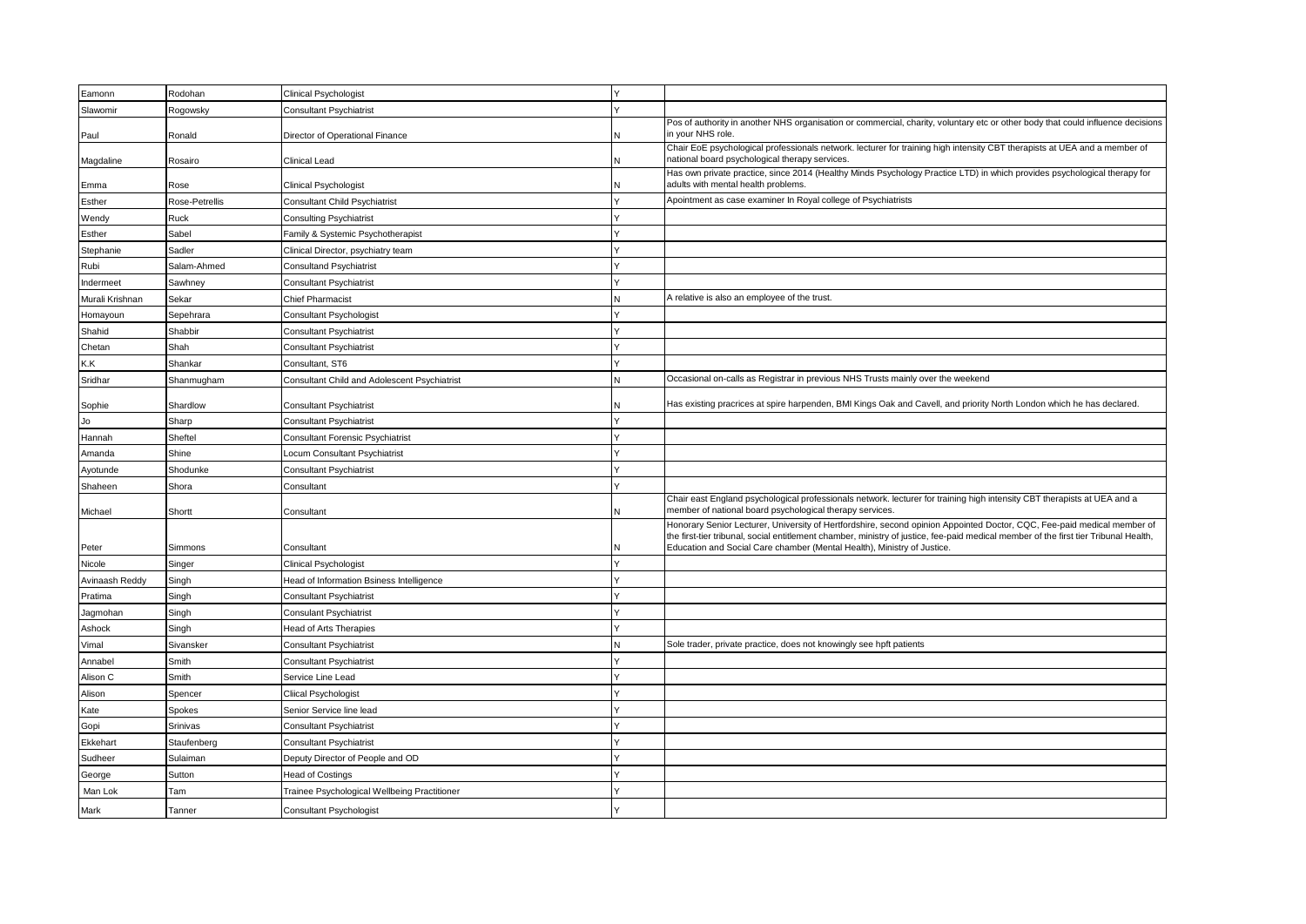| Eamonn          | Rodohan        | Clinical Psychologist                        |   |                                                                                                                                                                                                                                                                 |
|-----------------|----------------|----------------------------------------------|---|-----------------------------------------------------------------------------------------------------------------------------------------------------------------------------------------------------------------------------------------------------------------|
| Slawomir        | Rogowsky       | <b>Consultant Psychiatrist</b>               |   |                                                                                                                                                                                                                                                                 |
| Paul            | Ronald         | Director of Operational Finance              |   | Pos of authority in another NHS organisation or commercial, charity, voluntary etc or other body that could influence decisions<br>in your NHS role.                                                                                                            |
| Magdaline       | Rosairo        | Clinical Lead                                |   | Chair EoE psychological professionals network. lecturer for training high intensity CBT therapists at UEA and a member of<br>national board psychological therapy services.                                                                                     |
| Emma            | Rose           | Clinical Psychologist                        |   | Has own private practice, since 2014 (Healthy Minds Psychology Practice LTD) in which provides psychological therapy for<br>adults with mental health problems.                                                                                                 |
| Esther          | Rose-Petrellis | <b>Consultant Child Psychiatrist</b>         |   | Apointment as case examiner In Royal college of Psychiatrists                                                                                                                                                                                                   |
| Wendy           | Ruck           | <b>Consulting Psychiatrist</b>               |   |                                                                                                                                                                                                                                                                 |
| Esther          | Sabel          | Family & Systemic Psychotherapist            |   |                                                                                                                                                                                                                                                                 |
| Stephanie       | Sadler         | Clinical Director, psychiatry team           |   |                                                                                                                                                                                                                                                                 |
| Rubi            | Salam-Ahmed    | <b>Consultand Psychiatrist</b>               |   |                                                                                                                                                                                                                                                                 |
| Indermeet       | Sawhney        | <b>Consultant Psychiatrist</b>               |   |                                                                                                                                                                                                                                                                 |
| Murali Krishnan | Sekar          | <b>Chief Pharmacist</b>                      |   | A relative is also an employee of the trust.                                                                                                                                                                                                                    |
| Homayoun        | Sepehrara      | Consultant Psychologist                      |   |                                                                                                                                                                                                                                                                 |
| Shahid          | Shabbir        | <b>Consultant Psychiatrist</b>               |   |                                                                                                                                                                                                                                                                 |
| Chetan          | Shah           | Consultant Psychiatrist                      |   |                                                                                                                                                                                                                                                                 |
| K.K             | Shankar        | Consultant, ST6                              |   |                                                                                                                                                                                                                                                                 |
| Sridhar         | Shanmugham     | Consultant Child and Adolescent Psychiatrist | N | Occasional on-calls as Registrar in previous NHS Trusts mainly over the weekend                                                                                                                                                                                 |
|                 |                |                                              |   |                                                                                                                                                                                                                                                                 |
| Sophie          | Shardlow       | Consultant Psychiatrist                      |   | Has existing pracrices at spire harpenden, BMI Kings Oak and Cavell, and priority North London which he has declared.                                                                                                                                           |
| Jo              | Sharp          | <b>Consultant Psychiatrist</b>               |   |                                                                                                                                                                                                                                                                 |
| Hannah          | Sheftel        | Consultant Forensic Psychiatrist             |   |                                                                                                                                                                                                                                                                 |
| Amanda          | Shine          | Locum Consultant Psychiatrist                |   |                                                                                                                                                                                                                                                                 |
| Ayotunde        | Shodunke       | <b>Consultant Psychiatrist</b>               |   |                                                                                                                                                                                                                                                                 |
| Shaheen         | Shora          | Consultant                                   |   |                                                                                                                                                                                                                                                                 |
| Michael         | Shortt         | Consultant                                   |   | Chair east England psychological professionals network. lecturer for training high intensity CBT therapists at UEA and a<br>member of national board psychological therapy services.                                                                            |
|                 |                |                                              |   | Honorary Senior Lecturer, University of Hertfordshire, second opinion Appointed Doctor, CQC, Fee-paid medical member of<br>the first-tier tribunal, social entitlement chamber, ministry of justice, fee-paid medical member of the first tier Tribunal Health, |
| Peter           | Simmons        | Consultant                                   |   | Education and Social Care chamber (Mental Health), Ministry of Justice.                                                                                                                                                                                         |
| Nicole          | Singer         | Clinical Psychologist                        |   |                                                                                                                                                                                                                                                                 |
| Avinaash Reddy  | Singh          | Head of Information Bsiness Intelligence     |   |                                                                                                                                                                                                                                                                 |
| Pratima         | Singh          | <b>Consultant Psychiatrist</b>               |   |                                                                                                                                                                                                                                                                 |
| Jagmohan        | Singh          | <b>Consulant Psychiatrist</b>                |   |                                                                                                                                                                                                                                                                 |
| Ashock          | Singh          | Head of Arts Therapies                       |   |                                                                                                                                                                                                                                                                 |
| Vimal           | Sivansker      | <b>Consultant Psychiatrist</b>               |   | Sole trader, private practice, does not knowingly see hpft patients                                                                                                                                                                                             |
| Annabel         | Smith          | <b>Consultant Psychiatrist</b>               |   |                                                                                                                                                                                                                                                                 |
| Alison C        | Smith          | Service Line Lead                            |   |                                                                                                                                                                                                                                                                 |
| Alison          | Spencer        | Cliical Psychologist                         |   |                                                                                                                                                                                                                                                                 |
| Kate            | Spokes         | Senior Service line lead                     |   |                                                                                                                                                                                                                                                                 |
| Gopi            | Srinivas       | Consultant Psychiatrist                      |   |                                                                                                                                                                                                                                                                 |
| Ekkehart        | Staufenberg    | <b>Consultant Psychiatrist</b>               |   |                                                                                                                                                                                                                                                                 |
| Sudheer         | Sulaiman       | Deputy Director of People and OD             |   |                                                                                                                                                                                                                                                                 |
| George          | Sutton         | <b>Head of Costings</b>                      |   |                                                                                                                                                                                                                                                                 |
| Man Lok         | Tam            | Trainee Psychological Wellbeing Practitioner |   |                                                                                                                                                                                                                                                                 |
| Mark            | Tanner         | <b>Consultant Psychologist</b>               |   |                                                                                                                                                                                                                                                                 |